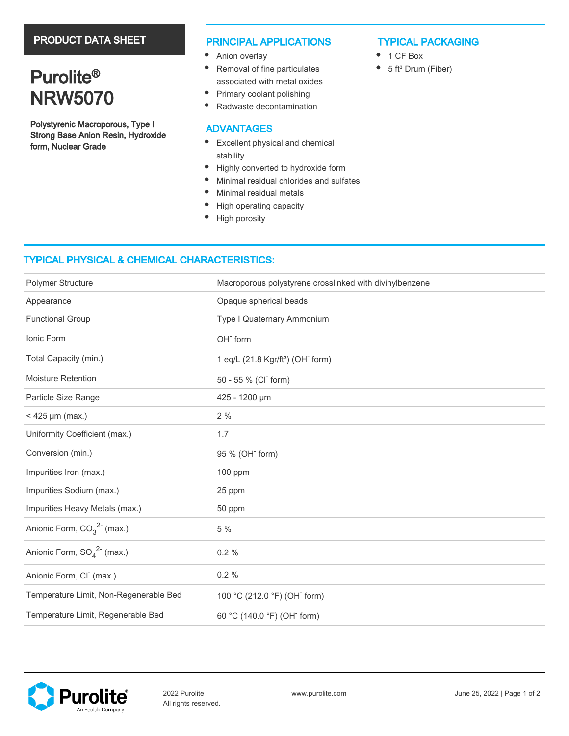# PRODUCT DATA SHEET

# Purolite<sup>®</sup> NRW5070

Polystyrenic Macroporous, Type I Strong Base Anion Resin, Hydroxide form, Nuclear Grade

### PRINCIPAL APPLICATIONS

- Anion overlay
- $\bullet$ Removal of fine particulates associated with metal oxides
- $\bullet$ Primary coolant polishing
- $\bullet$ Radwaste decontamination

### ADVANTAGES

- Excellent physical and chemical stability
- $\bullet$ Highly converted to hydroxide form
- $\bullet$ Minimal residual chlorides and sulfates
- $\bullet$ Minimal residual metals
- $\bullet$ High operating capacity
- $\bullet$ High porosity

## TYPICAL PACKAGING

- $\bullet$ 1 CF Box
- $\bullet$ 5 ft<sup>3</sup> Drum (Fiber)

# TYPICAL PHYSICAL & CHEMICAL CHARACTERISTICS:

| Polymer Structure                           | Macroporous polystyrene crosslinked with divinylbenzene   |
|---------------------------------------------|-----------------------------------------------------------|
| Appearance                                  | Opaque spherical beads                                    |
| <b>Functional Group</b>                     | Type I Quaternary Ammonium                                |
| Ionic Form                                  | OH <sup>-</sup> form                                      |
| Total Capacity (min.)                       | 1 eq/L (21.8 Kgr/ft <sup>3</sup> ) (OH <sup>-</sup> form) |
| <b>Moisture Retention</b>                   | 50 - 55 % (CI <sup>-</sup> form)                          |
| Particle Size Range                         | 425 - 1200 µm                                             |
| $<$ 425 µm (max.)                           | 2%                                                        |
| Uniformity Coefficient (max.)               | 1.7                                                       |
| Conversion (min.)                           | 95 % (OH <sup>-</sup> form)                               |
| Impurities Iron (max.)                      | 100 ppm                                                   |
| Impurities Sodium (max.)                    | 25 ppm                                                    |
| Impurities Heavy Metals (max.)              | 50 ppm                                                    |
| Anionic Form, $CO_3^2$ <sup>-</sup> (max.)  | 5 %                                                       |
| Anionic Form, $SO_4^2$ <sup>2-</sup> (max.) | 0.2%                                                      |
| Anionic Form, CI <sup>-</sup> (max.)        | 0.2%                                                      |
| Temperature Limit, Non-Regenerable Bed      | 100 °C (212.0 °F) (OH <sup>-</sup> form)                  |
| Temperature Limit, Regenerable Bed          | 60 °C (140.0 °F) (OH <sup>-</sup> form)                   |